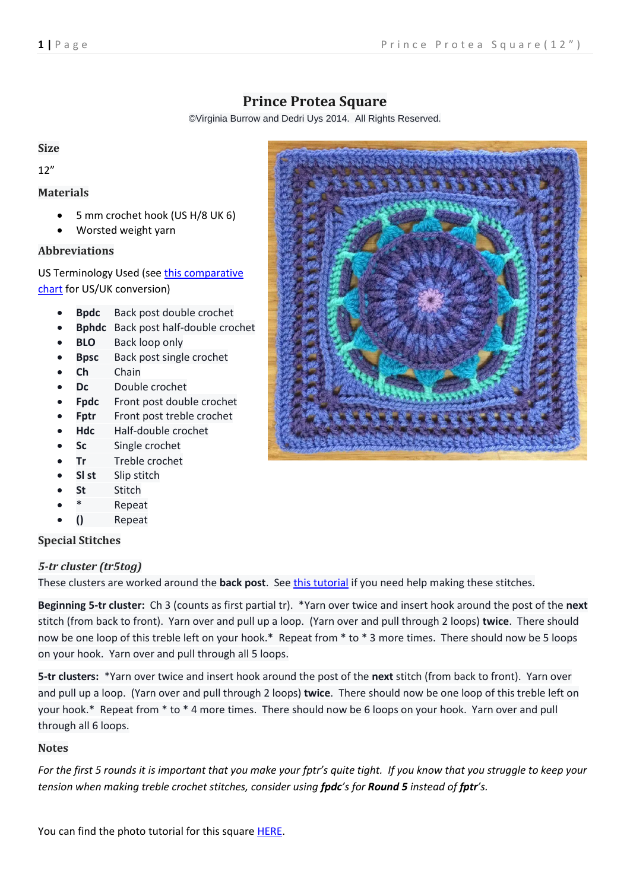# **Prince Protea Square**

©Virginia Burrow and Dedri Uys 2014. All Rights Reserved.

#### **Size**

12"

## **Materials**

- 5 mm crochet hook (US H/8 UK 6)
- Worsted weight yarn

## **Abbreviations**

US Terminology Used (see [this comparative](http://www.lookatwhatimade.net/crafts/yarn/crochet/crochet-hook-sizes-abbreviations-terminology-us-uk/)  [chart](http://www.lookatwhatimade.net/crafts/yarn/crochet/crochet-hook-sizes-abbreviations-terminology-us-uk/) for US/UK conversion)

- **Bpdc** Back post double crochet
- **Bphdc** Back post half-double crochet
- **BLO** Back loop only
- **Bpsc** Back post single crochet
- **Ch** Chain
- **Dc** Double crochet
- **Fpdc** Front post double crochet
- Fptr Front post treble crochet
- **Hdc** Half-double crochet
- **Sc** Single crochet
- **Tr** Treble crochet
- **Sl st** Slip stitch
- **St** Stitch
- **Repeat**
- **()** Repeat

## **Special Stitches**

## *5-tr cluster (tr5tog)*

These clusters are worked around the **back post**. Se[e this tutorial](http://www.lookatwhatimade.net/crafts/yarn/crochet/crochet-tutorials/crochet-back-post-5-treble-cluster-tr5tog/) if you need help making these stitches.

**Beginning 5-tr cluster:** Ch 3 (counts as first partial tr). \*Yarn over twice and insert hook around the post of the **next** stitch (from back to front). Yarn over and pull up a loop. (Yarn over and pull through 2 loops) **twice**. There should now be one loop of this treble left on your hook.\* Repeat from \* to \* 3 more times. There should now be 5 loops on your hook. Yarn over and pull through all 5 loops.

**5-tr clusters:** \*Yarn over twice and insert hook around the post of the **next** stitch (from back to front). Yarn over and pull up a loop. (Yarn over and pull through 2 loops) **twice**. There should now be one loop of this treble left on your hook.\* Repeat from \* to \* 4 more times. There should now be 6 loops on your hook. Yarn over and pull through all 6 loops.

#### **Notes**

*For the first 5 rounds it is important that you make your fptr's quite tight. If you know that you struggle to keep your tension when making treble crochet stitches, consider using fpdc's for Round 5 instead of fptr's.*

You can find the photo tutorial for this square [HERE.](http://www.lookatwhatimade.net/crafts/yarn/crochet/free-crochet-patterns/block-37-prince-protea-square-photo-tutorial-pattern/)

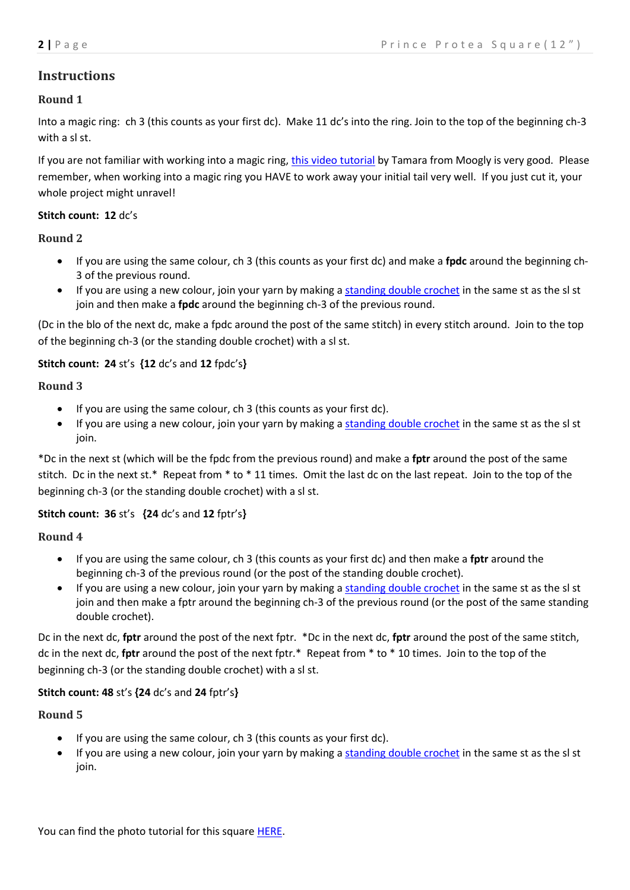## **Instructions**

## **Round 1**

Into a magic ring: ch 3 (this counts as your first dc). Make 11 dc's into the ring. Join to the top of the beginning ch-3 with a sl st.

If you are not familiar with working into a magic ring, this video [tutorial](http://www.mooglyblog.com/the-magic-circle/) by Tamara from Moogly is very good. Please remember, when working into a magic ring you HAVE to work away your initial tail very well. If you just cut it, your whole project might unravel!

### **Stitch count: 12** dc's

## **Round 2**

- If you are using the same colour, ch 3 (this counts as your first dc) and make a **fpdc** around the beginning ch-3 of the previous round.
- If you are using a new colour, join your yarn by making a [standing](http://www.mooglyblog.com/standing-double-crochet-joining/) double crochet in the same st as the sl st join and then make a **fpdc** around the beginning ch-3 of the previous round.

(Dc in the blo of the next dc, make a fpdc around the post of the same stitch) in every stitch around. Join to the top of the beginning ch-3 (or the standing double crochet) with a sl st.

## **Stitch count: 24** st's **{12** dc's and **12** fpdc's**}**

#### **Round 3**

- If you are using the same colour, ch 3 (this counts as your first dc).
- If you are using a new colour, join your yarn by making a [standing](http://www.mooglyblog.com/standing-double-crochet-joining/) double crochet in the same st as the sl st join.

\*Dc in the next st (which will be the fpdc from the previous round) and make a **fptr** around the post of the same stitch. Dc in the next st.\* Repeat from \* to \* 11 times. Omit the last dc on the last repeat. Join to the top of the beginning ch-3 (or the standing double crochet) with a sl st.

#### **Stitch count: 36** st's **{24** dc's and **12** fptr's**}**

#### **Round 4**

- If you are using the same colour, ch 3 (this counts as your first dc) and then make a **fptr** around the beginning ch-3 of the previous round (or the post of the standing double crochet).
- If you are using a new colour, join your yarn by making a [standing](http://www.mooglyblog.com/standing-double-crochet-joining/) double crochet in the same st as the sl st join and then make a fptr around the beginning ch-3 of the previous round (or the post of the same standing double crochet).

Dc in the next dc, **fptr** around the post of the next fptr. \*Dc in the next dc, **fptr** around the post of the same stitch, dc in the next dc, **fptr** around the post of the next fptr.\* Repeat from \* to \* 10 times. Join to the top of the beginning ch-3 (or the standing double crochet) with a sl st.

## **Stitch count: 48** st's **{24** dc's and **24** fptr's**}**

#### **Round 5**

- $\bullet$  If you are using the same colour, ch 3 (this counts as your first dc).
- If you are using a new colour, join your yarn by making a [standing](http://www.mooglyblog.com/standing-double-crochet-joining/) double crochet in the same st as the sl st join.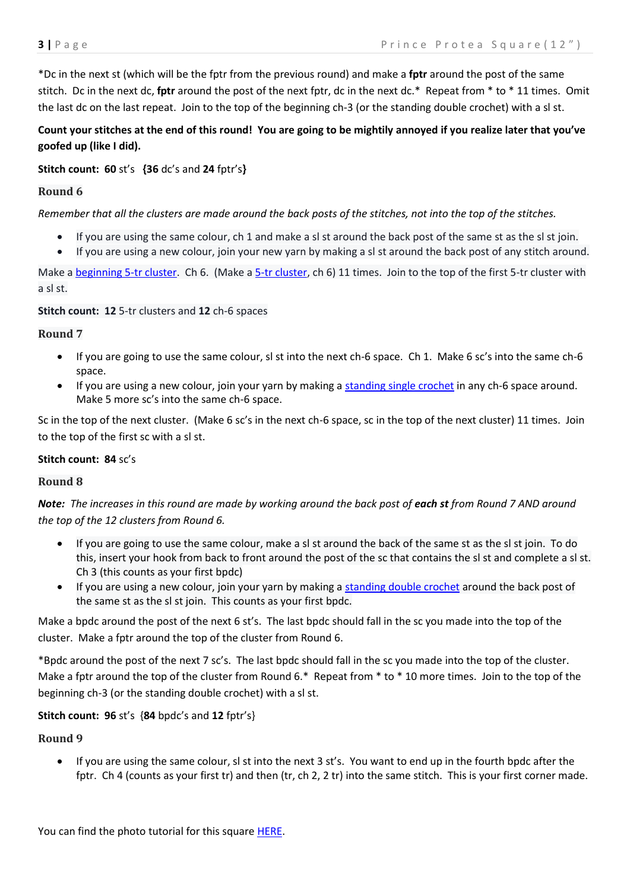\*Dc in the next st (which will be the fptr from the previous round) and make a **fptr** around the post of the same stitch. Dc in the next dc, **fptr** around the post of the next fptr, dc in the next dc.\* Repeat from \* to \* 11 times. Omit the last dc on the last repeat. Join to the top of the beginning ch-3 (or the standing double crochet) with a sl st.

## Count your stitches at the end of this round! You are going to be mightily annoyed if you realize later that you've **goofed up (like I did).**

#### **Stitch count: 60** st's **{36** dc's and **24** fptr's**}**

### **Round 6**

*Remember that all the clusters are made around the back posts of the stitches, not into the top of the stitches.*

- If you are using the same colour, ch 1 and make a sl st around the back post of the same st as the sl st join.
- If you are using a new colour, join your new yarn by making a sl st around the back post of any stitch around.

Make a [beginning 5-tr cluster.](http://www.lookatwhatimade.net/crafts/yarn/crochet/crochet-tutorials/crochet-back-post-5-treble-cluster-tr5tog/) Ch 6. (Make a [5-tr cluster,](http://www.lookatwhatimade.net/crafts/yarn/crochet/crochet-tutorials/crochet-back-post-5-treble-cluster-tr5tog/) ch 6) 11 times. Join to the top of the first 5-tr cluster with a sl st.

#### **Stitch count: 12** 5-tr clusters and **12** ch-6 spaces

#### **Round 7**

- If you are going to use the same colour, sl st into the next ch-6 space. Ch 1. Make 6 sc's into the same ch-6 space.
- If you are using a new colour, join your yarn by making a [standing single crochet](http://www.lookatwhatimade.net/crafts/yarn/crochet/crochet-tutorials/crochet-standing-single-crochet/) in any ch-6 space around. Make 5 more sc's into the same ch-6 space.

Sc in the top of the next cluster. (Make 6 sc's in the next ch-6 space, sc in the top of the next cluster) 11 times. Join to the top of the first sc with a sl st.

#### **Stitch count: 84** sc's

#### **Round 8**

*Note: The increases in this round are made by working around the back post of each st from Round 7 AND around the top of the 12 clusters from Round 6.* 

- If you are going to use the same colour, make a sl st around the back of the same st as the sl st join. To do this, insert your hook from back to front around the post of the sc that contains the sl st and complete a sl st. Ch 3 (this counts as your first bpdc)
- If you are using a new colour, join your yarn by making a [standing double crochet](http://www.mooglyblog.com/standing-double-crochet-joining/) around the back post of the same st as the sl st join. This counts as your first bpdc.

Make a bpdc around the post of the next 6 st's. The last bpdc should fall in the sc you made into the top of the cluster. Make a fptr around the top of the cluster from Round 6.

\*Bpdc around the post of the next 7 sc's. The last bpdc should fall in the sc you made into the top of the cluster. Make a fptr around the top of the cluster from Round 6.\* Repeat from \* to \* 10 more times. Join to the top of the beginning ch-3 (or the standing double crochet) with a sl st.

#### **Stitch count: 96** st's {**84** bpdc's and **12** fptr's}

#### **Round 9**

 If you are using the same colour, sl st into the next 3 st's. You want to end up in the fourth bpdc after the fptr. Ch 4 (counts as your first tr) and then (tr, ch 2, 2 tr) into the same stitch. This is your first corner made.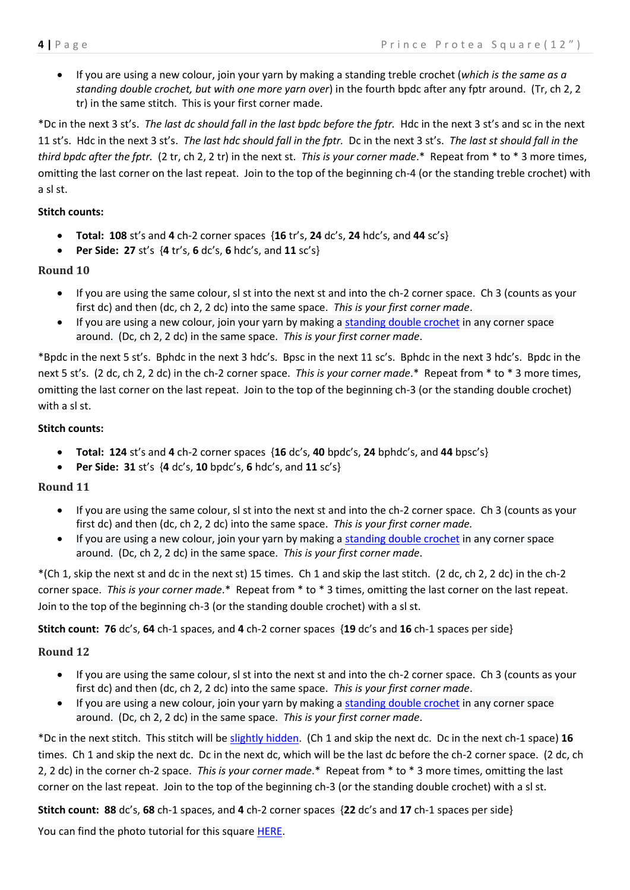If you are using a new colour, join your yarn by making a standing treble crochet (*which is the same as a standing double crochet, but with one more yarn over*) in the fourth bpdc after any fptr around. (Tr, ch 2, 2 tr) in the same stitch. This is your first corner made.

\*Dc in the next 3 st's. *The last dc should fall in the last bpdc before the fptr.* Hdc in the next 3 st's and sc in the next 11 st's. Hdc in the next 3 st's. *The last hdc should fall in the fptr.* Dc in the next 3 st's. *The last st should fall in the third bpdc after the fptr.* (2 tr, ch 2, 2 tr) in the next st. *This is your corner made*.\* Repeat from \* to \* 3 more times, omitting the last corner on the last repeat. Join to the top of the beginning ch-4 (or the standing treble crochet) with a sl st.

#### **Stitch counts:**

- **Total: 108** st's and **4** ch-2 corner spaces {**16** tr's, **24** dc's, **24** hdc's, and **44** sc's}
- **Per Side: 27** st's {**4** tr's, **6** dc's, **6** hdc's, and **11** sc's}

#### **Round 10**

- If you are using the same colour, sl st into the next st and into the ch-2 corner space. Ch 3 (counts as your first dc) and then (dc, ch 2, 2 dc) into the same space. *This is your first corner made*.
- If you are using a new colour, join your yarn by making a [standing double crochet](http://www.mooglyblog.com/standing-double-crochet-joining/) in any corner space around. (Dc, ch 2, 2 dc) in the same space. *This is your first corner made*.

\*Bpdc in the next 5 st's. Bphdc in the next 3 hdc's. Bpsc in the next 11 sc's. Bphdc in the next 3 hdc's. Bpdc in the next 5 st's. (2 dc, ch 2, 2 dc) in the ch-2 corner space. *This is your corner made*.\* Repeat from \* to \* 3 more times, omitting the last corner on the last repeat. Join to the top of the beginning ch-3 (or the standing double crochet) with a sl st.

#### **Stitch counts:**

- **Total: 124** st's and **4** ch-2 corner spaces {**16** dc's, **40** bpdc's, **24** bphdc's, and **44** bpsc's}
- **Per Side: 31** st's {**4** dc's, **10** bpdc's, **6** hdc's, and **11** sc's}

#### **Round 11**

- If you are using the same colour, sl st into the next st and into the ch-2 corner space. Ch 3 (counts as your first dc) and then (dc, ch 2, 2 dc) into the same space. *This is your first corner made.*
- If you are using a new colour, join your yarn by making a [standing double crochet](http://www.mooglyblog.com/standing-double-crochet-joining/) in any corner space around. (Dc, ch 2, 2 dc) in the same space. *This is your first corner made*.

\*(Ch 1, skip the next st and dc in the next st) 15 times. Ch 1 and skip the last stitch. (2 dc, ch 2, 2 dc) in the ch-2 corner space. *This is your corner made*.\* Repeat from \* to \* 3 times, omitting the last corner on the last repeat. Join to the top of the beginning ch-3 (or the standing double crochet) with a sl st.

#### **Stitch count: 76** dc's, **64** ch-1 spaces, and **4** ch-2 corner spaces {**19** dc's and **16** ch-1 spaces per side}

#### **Round 12**

- If you are using the same colour, sl st into the next st and into the ch-2 corner space. Ch 3 (counts as your first dc) and then (dc, ch 2, 2 dc) into the same space. *This is your first corner made*.
- If you are using a new colour, join your yarn by making a [standing double crochet](http://www.mooglyblog.com/standing-double-crochet-joining/) in any corner space around. (Dc, ch 2, 2 dc) in the same space. *This is your first corner made*.

\*Dc in the next stitch. This stitch will b[e slightly hidden.](http://www.lookatwhatimade.net/crafts/yarn/crochet/crochet-tutorials/crochet-corners-elusive-hidden-stitch/) (Ch 1 and skip the next dc. Dc in the next ch-1 space) **16** times. Ch 1 and skip the next dc. Dc in the next dc, which will be the last dc before the ch-2 corner space. (2 dc, ch 2, 2 dc) in the corner ch-2 space. *This is your corner made*.\* Repeat from \* to \* 3 more times, omitting the last corner on the last repeat. Join to the top of the beginning ch-3 (or the standing double crochet) with a sl st.

**Stitch count: 88** dc's, **68** ch-1 spaces, and **4** ch-2 corner spaces {**22** dc's and **17** ch-1 spaces per side}

You can find the photo tutorial for this square [HERE.](http://www.lookatwhatimade.net/crafts/yarn/crochet/free-crochet-patterns/block-37-prince-protea-square-photo-tutorial-pattern/)